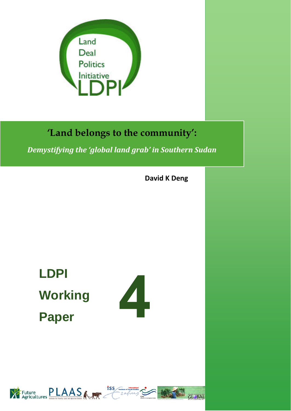

# **'Land belongs to the community':**

*Demystifying the 'global land grab' in Southern Sudan*

**David K Deng**

**LDPI Working Paper** 





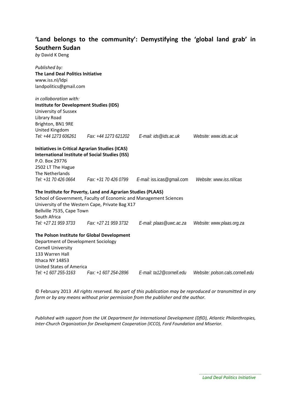## **'Land belongs to the community': Demystifying the 'global land grab' in Southern Sudan**

*by* David K Deng

| Published by:<br><b>The Land Deal Politics Initiative</b><br>www.iss.nl/ldpi<br>landpolitics@gmail.com |                                                                   |                                                        |                                  |
|--------------------------------------------------------------------------------------------------------|-------------------------------------------------------------------|--------------------------------------------------------|----------------------------------|
| in collaboration with:                                                                                 |                                                                   |                                                        |                                  |
| <b>Institute for Development Studies (IDS)</b>                                                         |                                                                   |                                                        |                                  |
| University of Sussex                                                                                   |                                                                   |                                                        |                                  |
| Library Road                                                                                           |                                                                   |                                                        |                                  |
| Brighton, BN1 9RE                                                                                      |                                                                   |                                                        |                                  |
| United Kingdom                                                                                         |                                                                   |                                                        |                                  |
| Tel: +44 1273 606261                                                                                   |                                                                   | Fax: +44 1273 621202    E-mail: ids@ids.ac.uk          | Website: www.ids.ac.uk           |
| <b>Initiatives in Critical Agrarian Studies (ICAS)</b>                                                 |                                                                   |                                                        |                                  |
|                                                                                                        | <b>International Institute of Social Studies (ISS)</b>            |                                                        |                                  |
| P.O. Box 29776                                                                                         |                                                                   |                                                        |                                  |
| 2502 LT The Hague                                                                                      |                                                                   |                                                        |                                  |
| The Netherlands                                                                                        |                                                                   |                                                        |                                  |
| Tel: +31 70 426 0664                                                                                   |                                                                   | <i>Fax: +31 70 426 0799 E-mail:</i> iss.icas@gmail.com | Website: www.iss.nl/icas         |
|                                                                                                        | The Institute for Poverty, Land and Agrarian Studies (PLAAS)      |                                                        |                                  |
|                                                                                                        | School of Government, Faculty of Economic and Management Sciences |                                                        |                                  |
|                                                                                                        | University of the Western Cape, Private Bag X17                   |                                                        |                                  |
| Bellville 7535, Cape Town                                                                              |                                                                   |                                                        |                                  |
| South Africa                                                                                           |                                                                   |                                                        |                                  |
| Tel: +27 21 959 3733                                                                                   | Fax: +27 21 959 3732                                              | E-mail: plaas@uwc.ac.za                                | Website: www.plaas.org.za        |
|                                                                                                        | The Polson Institute for Global Development                       |                                                        |                                  |
| Department of Development Sociology                                                                    |                                                                   |                                                        |                                  |
| <b>Cornell University</b>                                                                              |                                                                   |                                                        |                                  |
| 133 Warren Hall                                                                                        |                                                                   |                                                        |                                  |
| Ithaca NY 14853                                                                                        |                                                                   |                                                        |                                  |
| <b>United States of America</b>                                                                        |                                                                   |                                                        |                                  |
| Tel: +1 607 255-3163                                                                                   | Fax: +1 607 254-2896                                              | E-mail: ta12@cornell.edu                               | Website: polson.cals.cornell.edu |

© February 2013 *All rights reserved. No part of this publication may be reproduced or transmitted in any form or by any means without prior permission from the publisher and the author.*

*Published with support from the UK Department for International Development (DfID), Atlantic Philanthropies, Inter‐Church Organization for Development Cooperation (ICCO), Ford Foundation and Miserior.*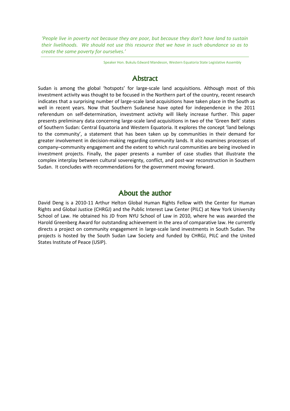'People live in poverty not because they are poor, but because they don't have land to sustain their livelihoods. We should not use this resource that we have in such abundance so as to create the same poverty for ourselves.'

Speaker Hon. Bukulu Edward Mandeson, Western Equatoria State Legislative Assembly

## Abstract

Sudan is among the global 'hotspots' for large-scale land acquisitions. Although most of this investment activity was thought to be focused in the Northern part of the country, recent research indicates that a surprising number of large-scale land acquisitions have taken place in the South as well in recent years. Now that Southern Sudanese have opted for independence in the 2011 referendum on self-determination, investment activity will likely increase further. This paper presents preliminary data concerning large-scale land acquisitions in two of the 'Green Belt' states of Southern Sudan: Central Equatoria and Western Equatoria. It explores the concept 'land belongs to the community', a statement that has been taken up by communities in their demand for greater involvement in decision-making regarding community lands. It also examines processes of company–community engagement and the extent to which rural communities are being involved in investment projects. Finally, the paper presents a number of case studies that illustrate the complex interplay between cultural sovereignty, conflict, and post-war reconstruction in Southern Sudan. It concludes with recommendations for the government moving forward.

### About the author

David Deng is a 2010-11 Arthur Helton Global Human Rights Fellow with the Center for Human Rights and Global Justice (CHRGJ) and the Public Interest Law Center (PILC) at New York University School of Law. He obtained his JD from NYU School of Law in 2010, where he was awarded the Harold Greenberg Award for outstanding achievement in the area of comparative law. He currently directs a project on community engagement in large-scale land investments in South Sudan. The projects is hosted by the South Sudan Law Society and funded by CHRGJ, PILC and the United States Institute of Peace (USIP).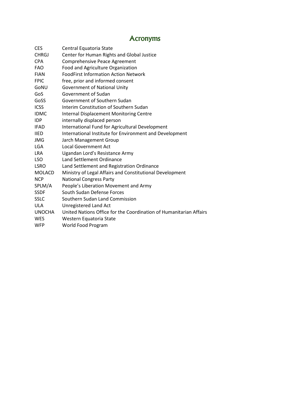## **Acronyms**

| Central Equatoria State                                            |
|--------------------------------------------------------------------|
| Center for Human Rights and Global Justice                         |
| Comprehensive Peace Agreement                                      |
| Food and Agriculture Organization                                  |
| <b>FoodFirst Information Action Network</b>                        |
| free, prior and informed consent                                   |
| <b>Government of National Unity</b>                                |
| Government of Sudan                                                |
| Government of Southern Sudan                                       |
| Interim Constitution of Southern Sudan                             |
| <b>Internal Displacement Monitoring Centre</b>                     |
| internally displaced person                                        |
| International Fund for Agricultural Development                    |
| International Institute for Environment and Development            |
| Jarch Management Group                                             |
| <b>Local Government Act</b>                                        |
| Ugandan Lord's Resistance Army                                     |
| Land Settlement Ordinance                                          |
| Land Settlement and Registration Ordinance                         |
| Ministry of Legal Affairs and Constitutional Development           |
| <b>National Congress Party</b>                                     |
| People's Liberation Movement and Army                              |
| South Sudan Defense Forces                                         |
| Southern Sudan Land Commission                                     |
| Unregistered Land Act                                              |
| United Nations Office for the Coordination of Humanitarian Affairs |
| Western Equatoria State                                            |
| World Food Program                                                 |
|                                                                    |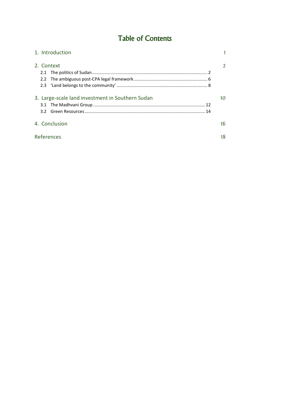## Table of Contents

| 1. Introduction                                         |    |
|---------------------------------------------------------|----|
| 2. Context<br>2.1                                       |    |
| 3. Large-scale land investment in Southern Sudan<br>3.2 |    |
| 4. Conclusion                                           | 16 |
| References                                              | 18 |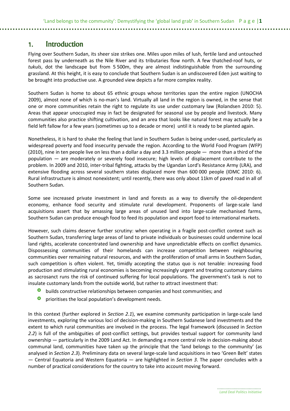### 1. Introduction

Flying over Southern Sudan, its sheer size strikes one. Miles upon miles of lush, fertile land and untouched forest pass by underneath as the Nile River and its tributaries flow north. A few thatched-roof huts, or tukuls, dot the landscape but from 5 500m, they are almost indistinguishable from the surrounding grassland. At this height, it is easy to conclude that Southern Sudan is an undiscovered Eden just waiting to be brought into productive use. A grounded view depicts a far more complex reality.

Southern Sudan is home to about 65 ethnic groups whose territories span the entire region (UNOCHA 2009), almost none of which is no-man's land. Virtually all land in the region is owned, in the sense that one or more communities retain the right to regulate its use under customary law (Rolandsen 2010: 5). Areas that appear unoccupied may in fact be designated for seasonal use by people and livestock. Many communities also practice shifting cultivation, and an area that looks like natural forest may actually be a field left fallow for a few years (sometimes up to a decade or more) until it is ready to be planted again.

Nonetheless, it is hard to shake the feeling that land in Southern Sudan is being under-used, particularly as widespread poverty and food insecurity pervade the region. According to the World Food Program (WFP) (2010), nine in ten people live on less than a dollar a day and 3.3 million people — more than a third of the population — are moderately or severely food insecure; high levels of displacement contribute to the problem. In 2009 and 2010, inter-tribal fighting, attacks by the Ugandan Lord's Resistance Army (LRA), and extensive flooding across several southern states displaced more than 600 000 people (IDMC 2010: 6). Rural infrastructure is almost nonexistent; until recently, there was only about 11km of paved road in all of Southern Sudan.

Some see increased private investment in land and forests as a way to diversify the oil-dependent economy, enhance food security and stimulate rural development. Proponents of large-scale land acquisitions assert that by amassing large areas of unused land into large-scale mechanised farms, Southern Sudan can produce enough food to feed its population and export food to international markets.

However, such claims deserve further scrutiny: when operating in a fragile post-conflict context such as Southern Sudan, transferring large areas of land to private individuals or businesses could undermine local land rights, accelerate concentrated land ownership and have unpredictable effects on conflict dynamics. Dispossessing communities of their homelands can increase competition between neighbouring communities over remaining natural resources, and with the proliferation of small arms in Southern Sudan, such competition is often violent. Yet, timidly accepting the status quo is not tenable: increasing food production and stimulating rural economies is becoming increasingly urgent and treating customary claims as sacrosanct runs the risk of continued suffering for local populations. The government's task is not to insulate customary lands from the outside world, but rather to attract investment that:

- **O** builds constructive relationships between companies and host communities; and
- **O** prioritises the local population's development needs.

In this context (further explored in Section 2.1), we examine community participation in large-scale land investments, exploring the various loci of decision-making in Southern Sudanese land investments and the extent to which rural communities are involved in the process. The legal framework (discussed in Section 2.2) is full of the ambiguities of post-conflict settings, but provides textual support for community land ownership — particularly in the 2009 Land Act. In demanding a more central role in decision-making about communal land, communities have taken up the principle that the 'land belongs to the community' (as analysed in Section 2.3). Preliminary data on several large-scale land acquisitions in two 'Green Belt' states — Central Equatoria and Western Equatoria — are highlighted in Section 3. The paper concludes with a number of practical considerations for the country to take into account moving forward.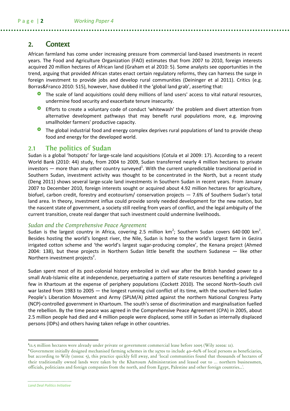### 2. Context

African farmland has come under increasing pressure from commercial land-based investments in recent years. The Food and Agriculture Organization (FAO) estimates that from 2007 to 2010, foreign interests acquired 20 million hectares of African land (Graham et al 2010: 5). Some analysts see opportunities in the trend, arguing that provided African states enact certain regulatory reforms, they can harness the surge in foreign investment to provide jobs and develop rural communities (Deininger et al 2011). Critics (e.g. Borras&Franco 2010: 515), however, have dubbed it the 'global land grab', asserting that:

- The scale of land acquisitions could deny millions of land users' access to vital natural resources, undermine food security and exacerbate tenure insecurity.
- **O** Efforts to create a voluntary code of conduct 'whitewash' the problem and divert attention from alternative development pathways that may benefit rural populations more, e.g. improving smallholder farmers' productive capacity.
- **O** The global industrial food and energy complex deprives rural populations of land to provide cheap food and energy for the developed world.

### **2.1 The politics of Sudan**

Sudan is a global 'hotspots' for large-scale land acquisitions (Cotula et al 2009: 17). According to a recent World Bank (2010: 44) study, from 2004 to 2009, Sudan transferred nearly 4 million hectares to private investors — more than any other country surveyed<sup>1</sup>. With the current unpredictable transitional period in Southern Sudan, investment activity was thought to be concentrated in the North, but a recent study (Deng 2011) shows several large-scale land investments in Southern Sudan in recent years. From January 2007 to December 2010, foreign interests sought or acquired about 4.92 million hectares for agriculture, biofuel, carbon credit, forestry and ecotourism/ conservation projects — 7.6% of Southern Sudan's total land area. In theory, investment influx could provide sorely needed development for the new nation, but the nascent state of government, a society still reeling from years of conflict, and the legal ambiguity of the current transition, create real danger that such investment could undermine livelihoods.

#### *Sudan and the Comprehensive Peace Agreement*

Sudan is the largest country in Africa, covering 2.5 million  $km^2$ ; Southern Sudan covers 640 000 km<sup>2</sup>. Besides hosting the world's longest river, the Nile, Sudan is home to the world's largest farm in Gezira irrigated cotton scheme and 'the world's largest sugar-producing complex', the Kenana project (Ahmed 2004: 138), but these projects in Northern Sudan little benefit the southern Sudanese — like other Northern investment projects<sup>2</sup>.

Sudan spent most of its post-colonial history embroiled in civil war after the British handed power to a small Arab-Islamic elite at independence, perpetuating a pattern of state resources benefiting a privileged few in Khartoum at the expense of periphery populations (Cockett 2010). The second North–South civil war lasted from 1983 to 2005 - the longest running civil conflict of its time, with the southern-led Sudan People's Liberation Movement and Army (SPLM/A) pitted against the northern National Congress Party (NCP)-controlled government in Khartoum. The south's sense of discrimination and marginalisation fuelled the rebellion. By the time peace was agreed in the Comprehensive Peace Agreement (CPA) in 2005, about 2.5 million people had died and 4 million people were displaced, some still in Sudan as internally displaced persons (IDPs) and others having taken refuge in other countries.

<sup>1</sup> 12.5 million hectares were already under private or government commercial lease before 2005 (Wily 2010a: 21).

<sup>2</sup> Government initially designed mechanised farming schemes in the 1970s to include 40–60% of local persons as beneficiaries, but according to Wily (2010a: 5), this practice quickly fell away, and 'local communities found that thousands of hectares of their traditionally owned lands were taken by the Khartoum Administration and leased out to … northern businessmen, officials, politicians and foreign companies from the north, and from Egypt, Palestine and other foreign countries...'.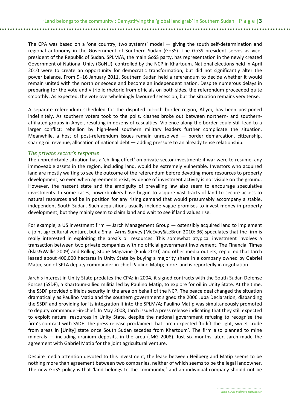The CPA was based on a 'one country, two systems' model — giving the south self-determination and regional autonomy in the Government of Southern Sudan (GoSS). The GoSS president serves as vicepresident of the Republic of Sudan. SPLM/A, the main GoSS party, has representation in the newly created Government of National Unity (GoNU), controlled by the NCP in Khartoum. National elections held in April 2010 were to create an opportunity for democratic transformation, but did not significantly alter the power balance. From 9–16 January 2011, Southern Sudan held a referendum to decide whether it would remain united with the north or secede and become an independent nation. Despite numerous delays in preparing for the vote and vitriolic rhetoric from officials on both sides, the referendum proceeded quite smoothly. As expected, the vote overwhelmingly favoured secession, but the situation remains very tense.

A separate referendum scheduled for the disputed oil-rich border region, Abyei, has been postponed indefinitely. As southern voters took to the polls, clashes broke out between northern- and southernaffiliated groups in Abyei, resulting in dozens of casualties. Violence along the border could still lead to a larger conflict; rebellion by high-level southern military leaders further complicate the situation. Meanwhile, a host of post-referendum issues remain unresolved — border demarcation, citizenship, sharing oil revenue, allocation of national debt — adding pressure to an already tense relationship.

#### *The private sector's response*

The unpredictable situation has a 'chilling effect' on private sector investment: if war were to resume, any immoveable assets in the region, including land, would be extremely vulnerable. Investors who acquired land are mostly waiting to see the outcome of the referendum before devoting more resources to property development, so even when agreements exist, evidence of investment activity is not visible on the ground. However, the nascent state and the ambiguity of prevailing law also seem to encourage speculative investments. In some cases, powerbrokers have begun to acquire vast tracts of land to secure access to natural resources and be in position for any rising demand that would presumably accompany a stable, independent South Sudan. Such acquisitions usually include vague promises to invest money in property development, but they mainly seem to claim land and wait to see if land values rise.

For example, a US investment firm — Jarch Management Group — ostensibly acquired land to implement a joint agricultural venture, but a Small Arms Survey (McEvoy&LeBrun 2010: 36) speculates that the firm is really interested in exploiting the area's oil resources. This somewhat atypical investment involves a transaction between two private companies with no official government involvement. The Financial Times (Blas&Wallis 2009) and Rolling Stone Magazine (Funk 2010) and other media outlets, reported that Jarch leased about 400,000 hectares in Unity State by buying a majority share in a company owned by Gabriel Matip, son of SPLA deputy commander-in-chief Paulino Matip; more land is reportedly in negotiation.

Jarch's interest in Unity State predates the CPA: in 2004, it signed contracts with the South Sudan Defense Forces (SSDF), a Khartoum-allied militia led by Paulino Matip, to explore for oil in Unity State. At the time, the SSDF provided oilfields security in the area on behalf of the NCP. The peace deal changed the situation dramatically as Paulino Matip and the southern government signed the 2006 Juba Declaration, disbanding the SSDF and providing for its integration it into the SPLM/A; Paulino Matip was simultaneously promoted to deputy commander-in-chief. In May 2008, Jarch issued a press release indicating that they still expected to exploit natural resources in Unity State, despite the national government refusing to recognise the firm's contract with SSDF. The press release proclaimed that Jarch expected 'to lift the light, sweet crude from areas in [Unity] state once South Sudan secedes from Khartoum'. The firm also planned to mine minerals — including uranium deposits, in the area (JMG 2008). Just six months later, Jarch made the agreement with Gabriel Matip for the joint agricultural venture.

Despite media attention devoted to this investment, the lease between Heilberg and Matip seems to be nothing more than agreement between two companies, neither of which seems to be the legal landowner. The new GoSS policy is that 'land belongs to the community,' and an individual company should not be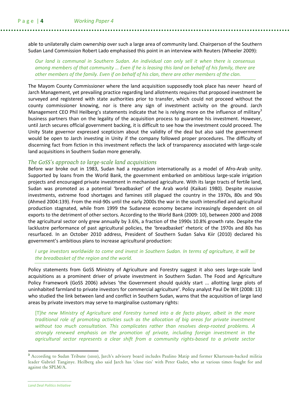able to unilaterally claim ownership over such a large area of community land. Chairperson of the Southern Sudan Land Commission Robert Lado emphasised this point in an interview with Reuters (Wheeler 2009):

Our land is communal in Southern Sudan. An individual can only sell it when there is consensus among members of that community … Even if he is leasing this land on behalf of his family, there are other members of the family. Even if on behalf of his clan, there are other members of the clan.

The Mayom County Commissioner where the land acquisition supposedly took place has never heard of Jarch Management, yet prevailing practice regarding land allotments requires that proposed investment be surveyed and registered with state authorities prior to transfer, which could not proceed without the county commissioner knowing, nor is there any sign of investment activity on the ground. Jarch Management CEO Phil Heilberg's statements indicate that he is relying more on the influence of military<sup>3</sup> business partners than on the legality of the acquisition process to guarantee his investment. However, until Jarch secures official government backing, it is difficult to see how the investment could proceed. The Unity State governor expressed scepticism about the validity of the deal but also said the government would be open to Jarch investing in Unity if the company followed proper procedures. The difficulty of discerning fact from fiction in this investment reflects the lack of transparency associated with large-scale land acquisitions in Southern Sudan more generally.

#### *The GoSS's approach to large-scale land acquisitions*

Before war broke out in 1983, Sudan had a reputation internationally as a model of Afro-Arab unity. Supported by loans from the World Bank, the government embarked on ambitious large-scale irrigation projects and encouraged private investment in mechanised agriculture. With its large tracts of fertile land, Sudan was promoted as a potential 'breadbasket' of the Arab world (Kaikati 1980). Despite massive investments, extreme food shortages and famines still plagued the country in the 1970s, 80s and 90s (Ahmed 2004:139). From the mid-90s until the early 2000s the war in the south intensified and agricultural production stagnated, while from 1999 the Sudanese economy became increasingly dependent on oil exports to the detriment of other sectors. According to the World Bank (2009: 10), between 2000 and 2008 the agricultural sector only grew annually by 3.6%, a fraction of the 1990s 10.8% growth rate. Despite the lacklustre performance of past agricultural policies, the 'breadbasket' rhetoric of the 1970s and 80s has resurfaced. In an October 2010 address, President of Southern Sudan Salva Kiir (2010) declared his government's ambitious plans to increase agricultural production:

#### I urge investors worldwide to come and invest in Southern Sudan. In terms of agriculture, it will be the breadbasket of the region and the world.

Policy statements from GoSS Ministry of Agriculture and Forestry suggest it also sees large-scale land acquisitions as a prominent driver of private investment in Southern Sudan. The Food and Agriculture Policy Framework (GoSS 2006) advises 'the Government should quickly start ... allotting large plots of uninhabited farmland to private investors for commercial agriculture'. Policy analyst Paul De Wit (2008: 13) who studied the link between land and conflict in Southern Sudan, warns that the acquisition of large land areas by private investors may serve to marginalise customary rights:

[T]he new Ministry of Agriculture and Forestry turned into a de facto player, albeit in the more traditional role of promoting activities such as the allocation of big areas for private investment without too much consultation. This complicates rather than resolves deep-rooted problems. A strongly renewed emphasis on the promotion of private, including foreign investment in the agricultural sector represents a clear shift from a community rights-based to a private sector

**<sup>3</sup>** According to Sudan Tribune (2010), Jarch's advisory board includes Paulino Matip and former Khartoum-backed militia leader Gabriel Tanginye. Heilberg also said Jarch has 'close ties' with Peter Gadet, who at various times fought for and against the SPLM/A.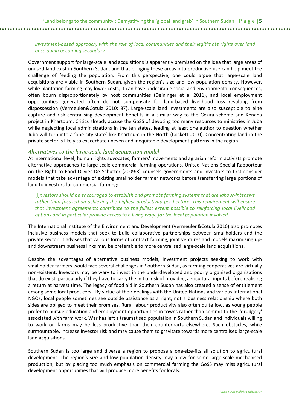#### investment-based approach, with the role of local communities and their legitimate rights over land once again becoming secondary.

Government support for large-scale land acquisitions is apparently premised on the idea that large areas of unused land exist in Southern Sudan, and that bringing these areas into productive use can help meet the challenge of feeding the population. From this perspective, one could argue that large-scale land acquisitions are viable in Southern Sudan, given the region's size and low population density. However, while plantation farming may lower costs, it can have undesirable social and environmental consequences, often bourn disproportionately by host communities (Deininger et al 2011), and local employment opportunities generated often do not compensate for land-based livelihood loss resulting from dispossession (Vermeulen&Cotula 2010: 87). Large-scale land investments are also susceptible to elite capture and risk centralising development benefits in a similar way to the Gezira scheme and Kenana project in Khartoum. Critics already accuse the GoSS of devoting too many resources to ministries in Juba while neglecting local administrations in the ten states, leading at least one author to question whether Juba will turn into a 'one-city state' like Khartoum in the North (Cockett 2010). Concentrating land in the private sector is likely to exacerbate uneven and inequitable development patterns in the region.

#### *Alternatives to the large-scale land acquisition model*

At international level, human rights advocates, farmers' movements and agrarian reform activists promote alternative approaches to large-scale commercial farming operations. United Nations Special Rapporteur on the Right to Food Olivier De Schutter (2009:8) counsels governments and investors to first consider models that take advantage of existing smallholder farmer networks before transferring large portions of land to investors for commercial farming:

[I]nvestors should be encouraged to establish and promote farming systems that are labour-intensive rather than focused on achieving the highest productivity per hectare. This requirement will ensure that investment agreements contribute to the fullest extent possible to reinforcing local livelihood options and in particular provide access to a living wage for the local population involved.

The International Institute of the Environment and Development (Vermeulen&Cotula 2010) also promotes inclusive business models that seek to build collaborative partnerships between smallholders and the private sector. It advises that various forms of contract farming, joint ventures and models maximising upand downstream business links may be preferable to more centralised large-scale land acquisitions.

Despite the advantages of alternative business models, investment projects seeking to work with smallholder farmers would face several challenges in Southern Sudan, as farming cooperatives are virtually non-existent. Investors may be wary to invest in the underdeveloped and poorly organised organisations that do exist, particularly if they have to carry the initial risk of providing agricultural inputs before realising a return at harvest time. The legacy of food aid in Southern Sudan has also created a sense of entitlement among some local producers. By virtue of their dealings with the United Nations and various International NGOs, local people sometimes see outside assistance as a right, not a business relationship where both sides are obliged to meet their promises. Rural labour productivity also often quite low, as young people prefer to pursue education and employment opportunities in towns rather than commit to the 'drudgery' associated with farm work. War has left a traumatised population in Southern Sudan and individuals willing to work on farms may be less productive than their counterparts elsewhere. Such obstacles, while surmountable, increase investor risk and may cause them to gravitate towards more centralised large-scale land acquisitions.

Southern Sudan is too large and diverse a region to propose a one-size-fits all solution to agricultural development. The region's size and low population density may allow for some large-scale mechanised production, but by placing too much emphasis on commercial farming the GoSS may miss agricultural development opportunities that will produce more benefits for locals.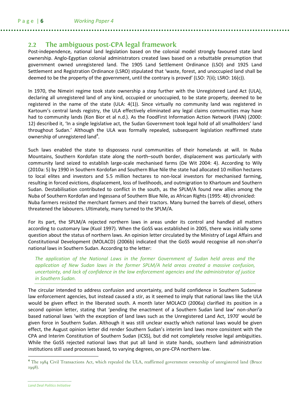### **2.2 The ambiguous post-CPA legal framework**

Post-independence, national land legislation based on the colonial model strongly favoured state land ownership. Anglo-Egyptian colonial administrators created laws based on a rebuttable presumption that government owned unregistered land. The 1905 Land Settlement Ordinance (LSO) and 1925 Land Settlement and Registration Ordinance (LSRO) stipulated that 'waste, forest, and unoccupied land shall be deemed to be the property of the government, until the contrary is proved' (LSO: 7(ii); LSRO: 16(c)).

In 1970, the Nimeiri regime took state ownership a step further with the Unregistered Land Act (ULA), declaring all unregistered land of any kind, occupied or unoccupied, to be state property, deemed to be registered in the name of the state (ULA: 4(1)). Since virtually no community land was registered in Kartoum's central lands registry, the ULA effectively eliminated any legal claims communities may have had to community lands (Kon Bior et al n.d.). As the FoodFirst Information Action Network (FIAN) (2000: 12) described it, 'In a single legislative act, the Sudan Government took legal hold of all smallholders' land throughout Sudan.' Although the ULA was formally repealed, subsequent legislation reaffirmed state ownership of unregistered land<sup>4</sup>.

Such laws enabled the state to dispossess rural communities of their homelands at will. In Nuba Mountains, Southern Kordofan state along the north–south border, displacement was particularly with community land seized to establish large-scale mechanised farms (De Wit 2004: 4). According to Wily (2010a: 5) by 1990 in Southern Kordofan and Southern Blue Nile the state had allocated 10 million hectares to local elites and investors and 5.5 million hectares to non-local investors for mechanised farming, resulting in forced evictions, displacement, loss of livelihoods, and outmigration to Khartoum and Southern Sudan. Destabilisation contributed to conflict in the south, as the SPLM/A found new allies among the Nuba of Southern Kordofan and Ingessana of Southern Blue Nile, as African Rights (1995: 48) chronicled: Nuba farmers resisted the merchant farmers and their tractors. Many burned the barrels of diesel, others threatened the labourers. Ultimately, many turned to the SPLM/A.

For its part, the SPLM/A rejected northern laws in areas under its control and handled all matters according to customary law (Kuol 1997). When the GoSS was established in 2005, there was initially some question about the status of northern laws. An opinion letter circulated by the Ministry of Legal Affairs and Constitutional Development (MOLACD) (2006b) indicated that the GoSS would recognise all non-shari'a national laws in Southern Sudan. According to the letter:

The application of the National Laws in the former Government of Sudan held areas and the application of New Sudan laws in the former SPLM/A held areas created a massive confusion, uncertainty, and lack of confidence in the law enforcement agencies and the administrator of justice in Southern Sudan.

The circular intended to address confusion and uncertainty, and build confidence in Southern Sudanese law enforcement agencies, but instead caused a stir, as it seemed to imply that national laws like the ULA would be given effect in the liberated south. A month later MOLACD (2006a) clarified its position in a second opinion letter, stating that 'pending the enactment of a Southern Sudan land law' non-shari'a based national laws 'with the exception of land laws such as the Unregistered Land Act, 1970' would be given force in Southern Sudan. Although it was still unclear exactly which national laws would be given effect, the August opinion letter did render Southern Sudan's interim land laws more consistent with the CPA and Interim Constitution of Southern Sudan (ICSS), but did not completely resolve legal ambiguities. While the GoSS rejected national laws that put all land in state hands, southern land administration institutions still used processes based, to varying degrees, on pre-CPA northern law.

**<sup>4</sup>** The 1984 Civil Transactions Act, which repealed the ULA, reaffirmed government ownership of unregistered land (Bruce 1998).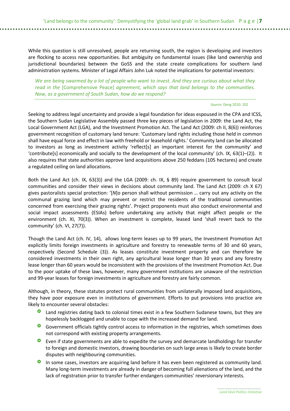While this question is still unresolved, people are returning south, the region is developing and investors are flocking to access new opportunities. But ambiguity on fundamental issues (like land ownership and jurisdictional boundaries) between the GoSS and the state create complications for southern land administration systems. Minister of Legal Affairs John Luk noted the implications for potential investors:

We are being swarmed by a lot of people who want to invest. And they are curious about what they read in the [Comprehensive Peace] agreement, which says that land belongs to the communities. Now, as a government of South Sudan, how do we respond?

#### Source: Deng 2010: 202

Seeking to address legal uncertainty and provide a legal foundation for ideas espoused in the CPA and ICSS, the Southern Sudan Legislative Assembly passed three key pieces of legislation in 2009: the Land Act, the Local Government Act (LGA), and the Investment Promotion Act. The Land Act (2009: ch II, 8(6)) reinforces government recognition of customary land tenure: 'Customary land rights including those held in common shall have equal force and effect in law with freehold or leasehold rights.' Community land can be allocated to investors as long as investment activity 'reflect[s] an important interest for the community' and 'contribute[s] economically and socially to the development of the local community' (ch. IX, 63(1)–(2)). It also requires that state authorities approve land acquisitions above 250 feddans (105 hectares) and create a regulated ceiling on land allocations.

Both the Land Act (ch. IX, 63(3)) and the LGA (2009: ch. IX, § 89) require government to consult local communities and consider their views in decisions about community land. The Land Act (2009: ch X 67) gives pastoralists special protection: '[N]o person shall without permission … carry out any activity on the communal grazing land which may prevent or restrict the residents of the traditional communities concerned from exercising their grazing rights'. Project proponents must also conduct environmental and social impact assessments (ESIAs) before undertaking any activity that might affect people or the environment (ch. XI, 70(3)). When an investment is complete, leased land 'shall revert back to the community' (ch. VI, 27(7)).

Though the Land Act (ch. IV, 14), allows long-term leases up to 99 years, the Investment Promotion Act explicitly limits foreign investments in agriculture and forestry to renewable terms of 30 and 60 years, respectively (Second Schedule (3)). As leases constitute investment property and can therefore be considered investments in their own right, any agricultural lease longer than 30 years and any forestry lease longer than 60 years would be inconsistent with the provisions of the Investment Promotion Act. Due to the poor uptake of these laws, however, many government institutions are unaware of the restriction and 99-year leases for foreign investments in agriculture and forestry are fairly common.

Although, in theory, these statutes protect rural communities from unilaterally imposed land acquisitions, they have poor exposure even in institutions of government. Efforts to put provisions into practice are likely to encounter several obstacles:

- Land registries dating back to colonial times exist in a few Southern Sudanese towns, but they are hopelessly backlogged and unable to cope with the increased demand for land.
- Government officials tightly control access to information in the registries, which sometimes does not correspond with existing property arrangements.
- **O** Even if state governments are able to expedite the survey and demarcate landholdings for transfer to foreign and domestic investors, drawing boundaries on such large areas is likely to create border disputes with neighbouring communities.
- **O** In some cases, investors are acquiring land before it has even been registered as community land. Many long-term investments are already in danger of becoming full alienations of the land, and the lack of registration prior to transfer further endangers communities' reversionary interests.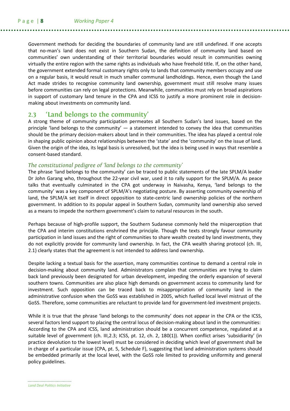Government methods for deciding the boundaries of community land are still undefined. If one accepts that no-man's land does not exist in Southern Sudan, the definition of community land based on communities' own understanding of their territorial boundaries would result in communities owning virtually the entire region with the same rights as individuals who have freehold title. If, on the other hand, the government extended formal customary rights only to lands that community members occupy and use on a regular basis, it would result in much smaller communal landholdings. Hence, even though the Land Act made strides to recognise community land ownership, government must still resolve many issues before communities can rely on legal protections. Meanwhile, communities must rely on broad aspirations in support of customary land tenure in the CPA and ICSS to justify a more prominent role in decisionmaking about investments on community land.

### **2.3 'Land belongs to the community'**

A strong theme of community participation permeates all Southern Sudan's land issues, based on the principle 'land belongs to the community'  $-$  a statement intended to convey the idea that communities should be the primary decision-makers about land in their communities. The idea has played a central role in shaping public opinion about relationships between the 'state' and the 'community' on the issue of land. Given the origin of the idea, its legal basis is unresolved, but the idea is being used in ways that resemble a consent-based standard.

#### *The constitutional pedigree of 'land belongs to the community'*

The phrase 'land belongs to the community' can be traced to public statements of the late SPLM/A leader Dr John Garang who, throughout the 22-year civil war, used it to rally support for the SPLM/A. As peace talks that eventually culminated in the CPA got underway in Naivasha, Kenya, 'land belongs to the community' was a key component of SPLM/A's negotiating posture. By asserting community ownership of land, the SPLM/A set itself in direct opposition to state-centric land ownership policies of the northern government. In addition to its popular appeal in Southern Sudan, community land ownership also served as a means to impede the northern government's claim to natural resources in the south.

Perhaps because of high-profile support, the Southern Sudanese commonly held the misperception that the CPA and interim constitutions enshrined the principle. Though the texts strongly favour community participation in land issues and the right of communities to share wealth created by land investments, they do not explicitly provide for community land ownership. In fact, the CPA wealth sharing protocol (ch. III, 2.1) clearly states that the agreement is not intended to address land ownership.

Despite lacking a textual basis for the assertion, many communities continue to demand a central role in decision-making about community land. Administrators complain that communities are trying to claim back land previously been designated for urban development, impeding the orderly expansion of several southern towns. Communities are also place high demands on government access to community land for investment. Such opposition can be traced back to misappropriation of community land in the administrative confusion when the GoSS was established in 2005, which fuelled local level mistrust of the GoSS. Therefore, some communities are reluctant to provide land for government-led investment projects.

While it is true that the phrase 'land belongs to the community' does not appear in the CPA or the ICSS, several factors lend support to placing the central locus of decision-making about land in the communities: According to the CPA and ICSS, land administration should be a concurrent competence, regulated at a suitable level of government (ch. III,2.3; ICSS, pt. 12, ch. 2, 180(1)). When conflict arises 'subsidiarity' (in practice devolution to the lowest level) must be considered in deciding which level of government shall be in charge of a particular issue (CPA, pt. 5, Schedule F), suggesting that land administration systems should be embedded primarily at the local level, with the GoSS role limited to providing uniformity and general policy guidelines.

Land Deal Politics Initiative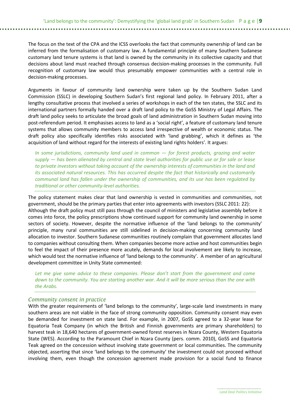#### The focus on the text of the CPA and the ICSS overlooks the fact that community ownership of land can be inferred from the formalisation of customary law. A fundamental principle of many Southern Sudanese customary land tenure systems is that land is owned by the community in its collective capacity and that decisions about land must reached through consensus decision-making processes in the community. Full recognition of customary law would thus presumably empower communities with a central role in decision-making processes.

Arguments in favour of community land ownership were taken up by the Southern Sudan Land Commission (SSLC) in developing Southern Sudan's first regional land policy. In February 2011, after a lengthy consultative process that involved a series of workshops in each of the ten states, the SSLC and its international partners formally handed over a draft land policy to the GoSS Ministry of Legal Affairs. The draft land policy seeks to articulate the broad goals of land administration in Southern Sudan moving into post-referendum period. It emphasises access to land as a 'social right', a feature of customary land tenure systems that allows community members to access land irrespective of wealth or economic status. The draft policy also specifically identifies risks associated with 'land grabbing', which it defines as 'the acquisition of land without regard for the interests of existing land rights holders'. It argues:

In some jurisdictions, community land used in common  $-$  for forest products, grazing and water supply  $-$  has been alienated by central and state level authorities for public use or for sale or lease to private investors without taking account of the ownership interests of communities in the land and its associated natural resources. This has occurred despite the fact that historically and customarily communal land has fallen under the ownership of communities, and its use has been regulated by traditional or other community-level authorities.

The policy statement makes clear that land ownership is vested in communities and communities, not government, should be the primary parties that enter into agreements with investors (SSLC 2011: 22): Although the draft policy must still pass through the council of ministers and legislative assembly before it comes into force, the policy prescriptions show continued support for community land ownership in some sectors of society. However, despite the normative influence of the 'land belongs to the community' principle, many rural communities are still sidelined in decision-making concerning community land allocation to investor. Southern Sudanese communities routinely complain that government allocates land to companies without consulting them. When companies become more active and host communities begin to feel the impact of their presence more acutely, demands for local involvement are likely to increase, which would test the normative influence of 'land belongs to the community'. A member of an agricultural development committee in Unity State commented:

Let me give some advice to these companies. Please don't start from the government and come down to the community. You are starting another war. And it will be more serious than the one with the Arabs.

#### *Community consent in practice*

With the greater requirements of 'land belongs to the community', large-scale land investments in many southern areas are not viable in the face of strong community opposition. Community consent may even be demanded for investment on state land. For example, in 2007, GoSS agreed to a 32-year lease for Equatoria Teak Company (in which the British and Finnish governments are primary shareholders) to harvest teak in 18,640 hectares of government-owned forest reserves in Nzara County, Western Equatoria State (WES). According to the Paramount Chief in Nzara County (pers. comm. 2010), GoSS and Equatoria Teak agreed on the concession without involving state government or local communities. The community objected, asserting that since 'land belongs to the community' the investment could not proceed without involving them, even though the concession agreement made provision for a social fund to finance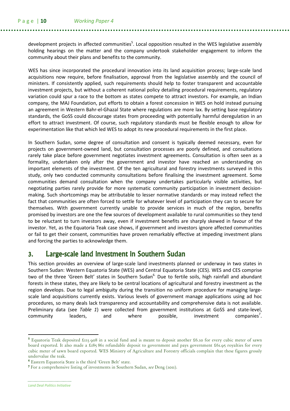development projects in affected communities<sup>5</sup>. Local opposition resulted in the WES legislative assembly holding hearings on the matter and the company undertook stakeholder engagement to inform the community about their plans and benefits to the community.

WES has since incorporated the procedural innovation into its land acquisition process; large-scale land acquisitions now require, before finalisation, approval from the legislative assembly and the council of ministers. If consistently applied, such requirements should help to foster transparent and accountable investment projects, but without a coherent national policy detailing procedural requirements, regulatory variation could spur a race to the bottom as states compete to attract investors. For example, an Indian company, the MAJ Foundation, put efforts to obtain a forest concession in WES on hold instead pursuing an agreement in Western Bahr-el-Ghazal State where regulations are more lax. By setting base regulatory standards, the GoSS could discourage states from proceeding with potentially harmful deregulation in an effort to attract investment. Of course, such regulatory standards must be flexible enough to allow for experimentation like that which led WES to adopt its new procedural requirements in the first place.

In Southern Sudan, some degree of consultation and consent is typically deemed necessary, even for projects on government-owned land, but consultation processes are poorly defined, and consultations rarely take place before government negotiates investment agreements. Consultation is often seen as a formality, undertaken only after the government and investor have reached an understanding on important elements of the investment. Of the ten agricultural and forestry investments surveyed in this study, only two conducted community consultations before finalising the investment agreement. Some communities demand consultation when the company undertakes particularly visible activities, but negotiating parties rarely provide for more systematic community participation in investment decisionmaking. Such shortcomings may be attributable to lesser normative standards or may instead reflect the fact that communities are often forced to settle for whatever level of participation they can to secure for themselves. With government currently unable to provide services in much of the region, benefits promised by investors are one the few sources of development available to rural communities so they tend to be reluctant to turn investors away, even if investment benefits are sharply skewed in favour of the investor. Yet, as the Equatoria Teak case shows, if government and investors ignore affected communities or fail to get their consent, communities have proven remarkably effective at impeding investment plans and forcing the parties to acknowledge them.

### 3. Large-scale land investment in Southern Sudan

This section provides an overview of large-scale land investments planned or underway in two states in Southern Sudan: Western Equatoria State (WES) and Central Equatoria State (CES). WES and CES comprise two of the three 'Green Belt' states in Southern Sudan<sup>6</sup>. Due to fertile soils, high rainfall and abundant forests in these states, they are likely to be central locations of agricultural and forestry investment as the region develops. Due to legal ambiguity during the transition no uniform procedure for managing largescale land acquisitions currently exists. Various levels of government manage applications using ad hoc procedures, so many deals lack transparency and accountability and comprehensive data is not available. Preliminary data (see Table 1) were collected from government institutions at GoSS and state-level, community leaders, and where possible, investment companies<sup>7</sup> companies'.

**<sup>5</sup>** Equatoria Teak deposited £123 908 in a social fund and is meant to deposit another £6.20 for every cubic meter of sawn board exported. It also made a £185 861 refundable deposit to government and pays government £61.95 royalties for every cubic meter of sawn board exported. WES Ministry of Agriculture and Forestry officials complain that these figures grossly undervalue the teak.

<sup>6</sup> Eastern Equatoria State is the third 'Green Belt' state.

<sup>&</sup>lt;sup>7</sup> For a comprehensive listing of investments in Southern Sudan, see Deng (2011).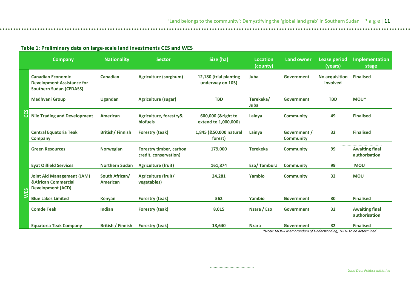#### Table 1: Preliminary data on large-scale land investments CES and WES

|     | <b>Company</b>                                                                                  | <b>Nationality</b>         | <b>Sector</b>                                    | Size (ha)                                  | <b>Location</b><br>(county) | <b>Land owner</b>                                                                  | <b>Lease period</b><br>(years) | <b>Implementation</b><br>stage         |
|-----|-------------------------------------------------------------------------------------------------|----------------------------|--------------------------------------------------|--------------------------------------------|-----------------------------|------------------------------------------------------------------------------------|--------------------------------|----------------------------------------|
| ပ္မ | <b>Canadian Economic</b><br><b>Development Assistance for</b><br><b>Southern Sudan (CEDASS)</b> | <b>Canadian</b>            | Agriculture (sorghum)                            | 12,180 (trial planting<br>underway on 105) | Juba                        | Government                                                                         | No acquisition<br>involved     | <b>Finalised</b>                       |
|     | <b>Madhvani Group</b>                                                                           | <b>Ugandan</b>             | <b>Agriculture (sugar)</b>                       | <b>TBD</b>                                 | Terekeka/<br>Juba           | Government                                                                         | <b>TBD</b>                     | MOU*                                   |
|     | <b>Nile Trading and Development</b>                                                             | American                   | Agriculture, forestry&<br><b>biofuels</b>        | 600,000 (&right to<br>extend to 1,000,000) | Lainya                      | <b>Community</b>                                                                   | 49                             | <b>Finalised</b>                       |
|     | <b>Central Equatoria Teak</b><br><b>Company</b>                                                 | <b>British/Finnish</b>     | <b>Forestry (teak)</b>                           | 1,845 (&50,000 natural<br>forest)          | Lainya                      | Government /<br><b>Community</b>                                                   | 32                             | <b>Finalised</b>                       |
|     | <b>Green Resources</b>                                                                          | <b>Norwegian</b>           | Forestry timber, carbon<br>credit, conservation) | 179,000                                    | <b>Terekeka</b>             | <b>Community</b>                                                                   | 99                             | <b>Awaiting final</b><br>authorisation |
|     | <b>Eyat Oilfield Services</b>                                                                   | <b>Northern Sudan</b>      | <b>Agriculture (fruit)</b>                       | 161,874                                    | Ezo/Tambura                 | Community                                                                          | 99                             | <b>MOU</b>                             |
|     | <b>Joint Aid Management (JAM)</b><br><b>&amp;African Commercial</b><br><b>Development (ACD)</b> | South African/<br>American | Agriculture (fruit/<br>vegetables)               | 24,281                                     | Yambio                      | <b>Community</b>                                                                   | 32                             | <b>MOU</b>                             |
|     | <b>Blue Lakes Limited</b>                                                                       | <b>Kenyan</b>              | <b>Forestry (teak)</b>                           | 562                                        | Yambio                      | Government                                                                         | 30                             | <b>Finalised</b>                       |
|     | <b>Comde Teak</b>                                                                               | Indian                     | <b>Forestry (teak)</b>                           | 8,015                                      | Nzara / Ezo                 | Government                                                                         | 32                             | <b>Awaiting final</b><br>authorisation |
|     | <b>Equatoria Teak Company</b>                                                                   | <b>British / Finnish</b>   | <b>Forestry (teak)</b>                           | 18,640                                     | <b>Nzara</b>                | <b>Government</b><br>*Note: MOLI-Memorandum of Understanding: TRD-To be determined | 32                             | <b>Finalised</b>                       |

\*Note: MOU= Memorandum of Understanding; TBD= To be determined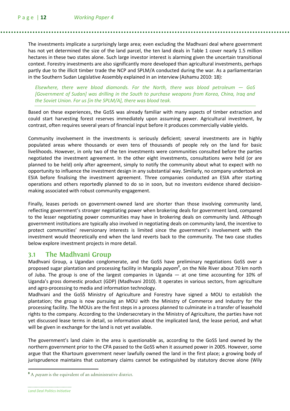The investments implicate a surprisingly large area; even excluding the Madhvani deal where government has not yet determined the size of the land parcel, the ten land deals in Table 1 cover nearly 1.5 million hectares in these two states alone. Such large investor interest is alarming given the uncertain transitional context. Forestry investments are also significantly more developed than agricultural investments, perhaps partly due to the illicit timber trade the NCP and SPLM/A conducted during the war. As a parliamentarian in the Southern Sudan Legislative Assembly explained in an interview (Ashamu 2010: 18):

Elsewhere, there were blood diamonds. For the North, there was blood petroleum  $-$  GoS [Government of Sudan] was drilling in the South to purchase weapons from Korea, China, Iraq and the Soviet Union. For us [in the SPLM/A], there was blood teak.

Based on these experiences, the GoSS was already familiar with many aspects of timber extraction and could start harvesting forest reserves immediately upon assuming power. Agricultural investment, by contrast, often requires several years of financial input before it produces commercially viable yields.

Community involvement in the investments is seriously deficient; several investments are in highly populated areas where thousands or even tens of thousands of people rely on the land for basic livelihoods. However, in only two of the ten investments were communities consulted before the parties negotiated the investment agreement. In the other eight investments, consultations were held (or are planned to be held) only after agreement, simply to notify the community about what to expect with no opportunity to influence the investment design in any substantial way. Similarly, no company undertook an ESIA before finalising the investment agreement. Three companies conducted an ESIA after starting operations and others reportedly planned to do so in soon, but no investors evidence shared decisionmaking associated with robust community engagement.

Finally, leases periods on government-owned land are shorter than those involving community land, reflecting government's stronger negotiating power when brokering deals for government land, compared to the lesser negotiating power communities may have in brokering deals on community land. Although government institutions are typically also involved in negotiating deals on community land, the incentive to protect communities' reversionary interests is limited since the government's involvement with the investment would theoretically end when the land reverts back to the community. The two case studies below explore investment projects in more detail.

### **3.1 The Madhvani Group**

Madhvani Group, a Ugandan conglomerate, and the GoSS have preliminary negotiations GoSS over a proposed sugar plantation and processing facility in Mangala *payam*<sup>8</sup>, on the Nile River about 70 km north of Juba. The group is one of the largest companies in Uganda — at one time accounting for 10% of Uganda's gross domestic product (GDP) (Madhvani 2010). It operates in various sectors, from agriculture and agro-processing to media and information technology.

Madhvani and the GoSS Ministry of Agriculture and Forestry have signed a MOU to establish the plantation; the group is now pursuing an MOU with the Ministry of Commerce and Industry for the processing facility. The MOUs are the first steps in a process planned to culminate in a transfer of leasehold rights to the company. According to the Undersecretary in the Ministry of Agriculture, the parties have not yet discussed lease terms in detail, so information about the implicated land, the lease period, and what will be given in exchange for the land is not yet available.

The government's land claim in the area is questionable as, according to the GoSS land owned by the northern government prior to the CPA passed to the GoSS when it assumed power in 2005. However, some argue that the Khartoum government never lawfully owned the land in the first place; a growing body of jurisprudence maintains that customary claims cannot be extinguished by statutory decree alone (Wily

<sup>8</sup> A payam is the equivalent of an administrative district.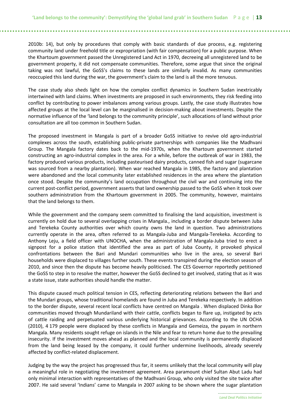2010b: 14), but only by procedures that comply with basic standards of due process, e.g. registering community land under freehold title or expropriation (with fair compensation) for a public purpose. When the Khartoum government passed the Unregistered Land Act in 1970, decreeing all unregistered land to be government property, it did not compensate communities. Therefore, some argue that since the original taking was not lawful, the GoSS's claims to these lands are similarly invalid. As many communities reoccupied this land during the war, the government's claim to the land is all the more tenuous.

The case study also sheds light on how the complex conflict dynamics in Southern Sudan inextricably intertwined with land claims. When investments are proposed in such environments, they risk feeding into conflict by contributing to power imbalances among various groups. Lastly, the case study illustrates how affected groups at the local level can be marginalised in decision-making about investments. Despite the normative influence of the 'land belongs to the community principle', such allocations of land without prior consultation are all too common in Southern Sudan.

The proposed investment in Mangala is part of a broader GoSS initiative to revive old agro-industrial complexes across the south, establishing public-private partnerships with companies like the Madhvani Group. The Mangala factory dates back to the mid-1970s, when the Khartoum government started constructing an agro-industrial complex in the area. For a while, before the outbreak of war in 1983, the factory produced various products, including pasteurised dairy products, canned fish and sugar (sugarcane was sourced from a nearby plantation). When war reached Mangala in 1985, the factory and plantation were abandoned and the local community later established residences in the area where the plantation once stood. Despite the community's land occupation throughout the civil war and continuing into the current post-conflict period, government asserts that land ownership passed to the GoSS when it took over southern administration from the Khartoum government in 2005. The community, however, maintains that the land belongs to them.

While the government and the company seem committed to finalising the land acquisition, investment is currently on hold due to several overlapping crises in Mangala., including a border dispute between Juba and Terekeka County authorities over which county owns the land in question. Two administrations currently operate in the area, often referred to as Mangala-Juba and Mangala-Terekeka. According to Anthony Leju, a field officer with UNOCHA, when the administration of Mangala-Juba tried to erect a signpost for a police station that identified the area as part of Juba County, it provoked physical confrontations between the Bari and Mundari communities who live in the area, so several Bari households were displaced to villages further south. These events transpired during the election season of 2010, and since then the dispute has become heavily politicised. The CES Governor reportedly petitioned the GoSS to step in to resolve the matter, however the GoSS declined to get involved, stating that as it was a state issue, state authorities should handle the matter.

This dispute caused much political tension in CES, reflecting deteriorating relations between the Bari and the Mundari groups, whose traditional homelands are found in Juba and Terekeka respectively. In addition to the border dispute, several recent local conflicts have centred on Mangala . When displaced Dinka Bor communities moved through Mundariland with their cattle, conflicts began to flare up, instigated by acts of cattle raiding and perpetuated various underlying historical grievances. According to the UN OCHA (2010), 4 179 people were displaced by these conflicts in Mangala and Gemeiza, the payam in northern Mangala. Many residents sought refuge on islands in the Nile and fear to return home due to the prevailing insecurity. If the investment moves ahead as planned and the local community is permanently displaced from the land being leased by the company, it could further undermine livelihoods, already severely affected by conflict-related displacement.

Judging by the way the project has progressed thus far, it seems unlikely that the local community will play a meaningful role in negotiating the investment agreement. Area paramount chief Sultan Abut Ladu had only minimal interaction with representatives of the Madhvani Group, who only visited the site twice after 2007. He said several 'Indians' came to Mangala in 2007 asking to be shown where the sugar plantation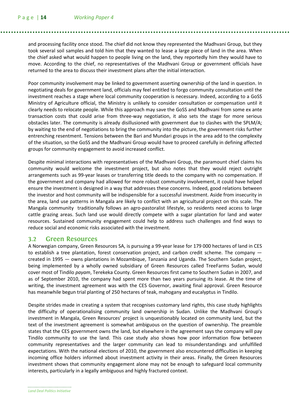and processing facility once stood. The chief did not know they represented the Madhvani Group, but they took several soil samples and told him that they wanted to lease a large piece of land in the area. When the chief asked what would happen to people living on the land, they reportedly him they would have to move. According to the chief, no representatives of the Madhvani Group or government officials have returned to the area to discuss their investment plans after the initial interaction.

Poor community involvement may be linked to government asserting ownership of the land in question. In negotiating deals for government land, officials may feel entitled to forgo community consultation until the investment reaches a stage where local community cooperation is necessary. Indeed, according to a GoSS Ministry of Agriculture official, the Ministry is unlikely to consider consultation or compensation until it clearly needs to relocate people. While this approach may save the GoSS and Madhvani from some ex ante transaction costs that could arise from three-way negotiation, it also sets the stage for more serious obstacles later. The community is already disillusioned with government due to clashes with the SPLM/A; by waiting to the end of negotiations to bring the community into the picture, the government risks further entrenching resentment. Tensions between the Bari and Mundari groups in the area add to the complexity of the situation, so the GoSS and the Madhvani Group would have to proceed carefully in defining affected groups for community engagement to avoid increased conflict.

Despite minimal interactions with representatives of the Madhvani Group, the paramount chief claims his community would welcome the investment project, but also notes that they would reject outright arrangements such as 99-year leases or transferring title deeds to the company with no compensation. If the government and company had allowed for more robust community involvement, it could have helped ensure the investment is designed in a way that addresses these concerns. Indeed, good relations between the investor and host community will be indispensible for a successful investment. Aside from insecurity in the area, land use patterns in Mangala are likely to conflict with an agricultural project on this scale. The Mangala community traditionally follows an agro-pastoralist lifestyle, so residents need access to large cattle grazing areas. Such land use would directly compete with a sugar plantation for land and water resources. Sustained community engagement could help to address such challenges and find ways to reduce social and economic risks associated with the investment.

#### **3.2 Green Resources**

A Norwegian company, Green Resources SA, is pursuing a 99-year lease for 179 000 hectares of land in CES to establish a tree plantation, forest conservation project, and carbon credit scheme. The company created in 1995 — owns plantations in Mozambique, Tanzania and Uganda. The Southern Sudan project, being implemented by a wholly owned subsidiary of Green Resources called TreeFarms Sudan, would cover most of Tindilo payam, Terekeka County. Green Resources first came to Southern Sudan in 2007, and as of September 2010, the company had spent more than two years pursuing its lease. At the time of writing, the investment agreement was with the CES Governor, awaiting final approval. Green Resource has meanwhile begun trial planting of 250 hectares of teak, mahogany and eucalyptus in Tindilo.

Despite strides made in creating a system that recognises customary land rights, this case study highlights the difficulty of operationalising community land ownership in Sudan. Unlike the Madhvani Group's investment in Mangala, Green Resources' project is unquestionably located on community land, but the text of the investment agreement is somewhat ambiguous on the question of ownership. The preamble states that the CES government owns the land, but elsewhere in the agreement says the company will pay Tindilo community to use the land. This case study also shows how poor information flow between community representatives and the larger community can lead to misunderstandings and unfulfilled expectations. With the national elections of 2010, the government also encountered difficulties in keeping incoming office holders informed about investment activity in their areas. Finally, the Green Resources investment shows that community engagement alone may not be enough to safeguard local community interests, particularly in a legally ambiguous and highly fractured context.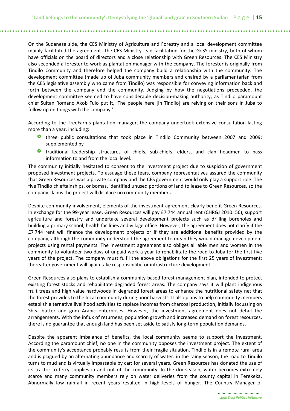On the Sudanese side, the CES Ministry of Agriculture and Forestry and a local development committee mainly facilitated the agreement. The CES Ministry lead facilitation for the GoSS ministry, both of whom have officials on the board of directors and a close relationship with Green Resources. The CES Ministry also seconded a forester to work as plantation manager with the company. The forester is originally from Tindilo Community and therefore helped the company build a relationship with the community. The development committee (made up of Juba community members and chaired by a parliamentarian from the CES legislative assembly who came from Tindilo) was responsible for conveying information back and forth between the company and the community. Judging by how the negotiations proceeded, the development committee seemed to have considerable decision-making authority; as Tindilo paramount chief Sultan Romano Akob Fulo put it, 'The people here [in Tindilo] are relying on their sons in Juba to follow up on things with the company.'

According to the TreeFarms plantation manager, the company undertook extensive consultation lasting more than a year, including:

- three public consultations that took place in Tindilo Community between 2007 and 2009; supplemented by
- traditional leadership structures of chiefs, sub-chiefs, elders, and clan headmen to pass information to and from the local level.

The community initially hesitated to consent to the investment project due to suspicion of government proposed investment projects. To assuage these fears, company representatives assured the community that Green Resources was a private company and the CES government would only play a support role. The five Tindilo chieftainships, or bomas, identified unused portions of land to lease to Green Resources, so the company claims the project will displace no community members.

Despite community involvement, elements of the investment agreement clearly benefit Green Resources. In exchange for the 99-year lease, Green Resources will pay £7 744 annual rent (CHRGJ 2010: 56), support agriculture and forestry and undertake several development projects such as drilling boreholes and building a primary school, health facilities and village office. However, the agreement does not clarify if the £7 744 rent will finance the development projects or if they are additional benefits provided by the company, although the community understood the agreement to mean they would manage development projects using rental payments. The investment agreement also obliges all able men and women in the community to volunteer two days of unpaid work a year to rehabilitate the road to Juba for the first five years of the project. The company must fulfil the above obligations for the first 25 years of investment; thereafter government will again take responsibility for infrastructure development.

Green Resources also plans to establish a community-based forest management plan, intended to protect existing forest stocks and rehabilitate degraded forest areas. The company says it will plant indigenous fruit trees and high value hardwoods in degraded forest areas to enhance the nutritional safety net that the forest provides to the local community during poor harvests. It also plans to help community members establish alternative livelihood activities to replace incomes from charcoal production, initially focussing on Shea butter and gum Arabic enterprises. However, the investment agreement does not detail the arrangements. With the influx of returnees, population growth and increased demand on forest resources, there is no guarantee that enough land has been set aside to satisfy long-term population demands.

Despite the apparent imbalance of benefits, the local community seems to support the investment. According the paramount chief, no one in the community opposes the investment project. The extent of the community's acceptance probably results from their fragile situation. Tindilo is in a remote rural area and is plagued by an alternating abundance and scarcity of water: in the rainy season, the road to Tindilo turns to mud and is virtually impassable by car; for several years, Green Resources has donated the use of its tractor to ferry supplies in and out of the community. In the dry season, water becomes extremely scarce and many community members rely on water deliveries from the county capital in Terekeka. Abnormally low rainfall in recent years resulted in high levels of hunger. The Country Manager of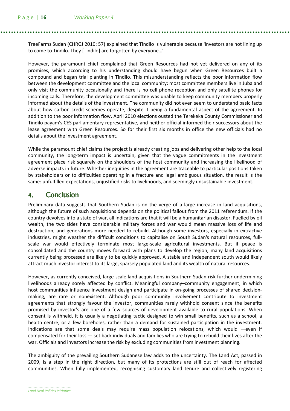TreeFarms Sudan (CHRGJ 2010: 57) explained that Tindilo is vulnerable because 'investors are not lining up to come to Tindilo. They [Tindilo] are forgotten by everyone…'

However, the paramount chief complained that Green Resources had not yet delivered on any of its promises, which according to his understanding should have begun when Green Resources built a compound and began trial planting in Tindilo. This misunderstanding reflects the poor information flow between the development committee and the local community: most committee members live in Juba and only visit the community occasionally and there is no cell phone reception and only satellite phones for incoming calls. Therefore, the development committee was unable to keep community members properly informed about the details of the investment. The community did not even seem to understand basic facts about how carbon credit schemes operate, despite it being a fundamental aspect of the agreement. In addition to the poor information flow, April 2010 elections ousted the Terekeka County Commissioner and Tindilo payam's CES parliamentary representative, and neither official informed their successors about the lease agreement with Green Resources. So for their first six months in office the new officials had no details about the investment agreement.

While the paramount chief claims the project is already creating jobs and delivering other help to the local community, the long-term impact is uncertain, given that the vague commitments in the investment agreement place risk squarely on the shoulders of the host community and increasing the likelihood of adverse impacts in future. Whether inequities in the agreement are traceable to particular positions taken by stakeholders or to difficulties operating in a fracture and legal ambiguous situation, the result is the same: unfulfilled expectations, unjustified risks to livelihoods, and seemingly unsustainable investment.

### 4. Conclusion Conclusion

Preliminary data suggests that Southern Sudan is on the verge of a large increase in land acquisitions, although the future of such acquisitions depends on the political fallout from the 2011 referendum. If the country devolves into a state of war, all indications are that it will be a humanitarian disaster. Fuelled by oil wealth, the two sides have considerable military forces and war would mean massive loss of life and destruction, and generations more needed to rebuild. Although some investors, especially in extractive industries, might weather the difficult conditions to capitalise on South Sudan's natural resources, fullscale war would effectively terminate most large-scale agricultural investments. But if peace is consolidated and the country moves forward with plans to develop the region, many land acquisitions currently being processed are likely to be quickly approved. A stable and independent south would likely attract much investor interest to its large, sparsely populated land and its wealth of natural resources.

However, as currently conceived, large-scale land acquisitions in Southern Sudan risk further undermining livelihoods already sorely affected by conflict. Meaningful company–community engagement, in which host communities influence investment design and participate in on-going processes of shared decisionmaking, are rare or nonexistent. Although poor community involvement contribute to investment agreements that strongly favour the investor, communities rarely withhold consent since the benefits promised by investor's are one of a few sources of development available to rural populations. When consent is withheld, it is usually a negotiating tactic designed to win small benefits, such as a school, a health centre, or a few boreholes, rather than a demand for sustained participation in the investment. Indications are that some deals may require mass population relocations, which would —even if compensated for their loss — set back individuals and families who are trying to rebuild their lives after the war. Officials and investors increase the risk by excluding communities from investment planning.

The ambiguity of the prevailing Southern Sudanese law adds to the uncertainty. The Land Act, passed in 2009, is a step in the right direction, but many of its protections are still out of reach for affected communities. When fully implemented, recognising customary land tenure and collectively registering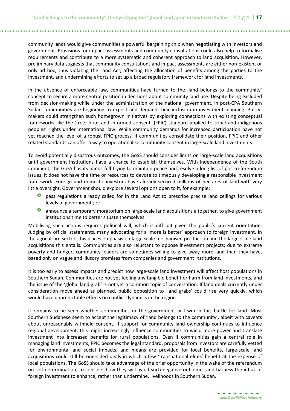community lands would give communities a powerful bargaining chip when negotiating with investors and government. Provisions for impact assessments and community consultations could also help to formalise requirements and contribute to a more systematic and coherent approach to land acquisition. However, preliminary data suggests that community consultations and impact assessments are either non-existent or only ad hoc, thus violating the Land Act, affecting the allocation of benefits among the parties to the investment, and undermining efforts to set up a broad regulatory framework for land investments.

In the absence of enforceable law, communities have turned to the 'land belongs to the community' concept to secure a more central position in decisions about community land use. Despite being excluded from decision-making while under the administration of the national government, in post-CPA Southern Sudan communities are beginning to expect and demand their inclusion in investment planning. Policymakers could strengthen such homegrown initiatives by exploring connections with existing conceptual frameworks like the 'free, prior and informed consent' (FPIC) standard applied to tribal and indigenous peoples' rights under international law. While community demands for increased participation have not yet reached the level of a robust FPIC process, if communities consolidate their position, FPIC and other related standards can offer a way to operationalise community consent in large-scale land investments.

To avoid potentially disastrous outcomes, the GoSS should consider limits on large-scale land acquisitions until government institutions have a chance to establish themselves. With independence of the South imminent, the GoSS has its hands full trying to maintain peace and resolve a long list of post-referendum issues. It does not have the time or resources to devote to timeously developing a responsible investment framework. Foreign and domestic investors have already secured millions of hectares of land with very little oversight. Government should explore several options open to it, for example:

- pass regulations already called for in the Land Act to prescribe precise land ceilings for various levels of government.; or
- announce a temporary moratorium on large-scale land acquisitions altogether, to give government institutions time to better situate themselves.

Mobilising such actions requires political will, which is difficult given the public's current orientation. Judging by official statements, many advocating for a 'more is better' approach to foreign investment. In the agriculture sector, this places emphasis on large-scale mechanised production and the large-scale land acquisitions this entails. Communities are also reluctant to oppose investment projects; due to extreme poverty and hunger, community leaders are sometimes willing to give away more land than they have, based only on vague and illusory promises from companies and government institutions.

It is too early to assess impacts and predict how large-scale land investment will affect host populations in Southern Sudan. Communities are not yet feeling any tangible benefit or harm from land investments, and the issue of the 'global land grab' is not yet a common topic of conversation. If land deals currently under consideration move ahead as planned, public opposition to 'land grabs' could rise very quickly, which would have unpredictable effects on conflict dynamics in the region.

It remains to be seen whether communities or the government will win in this battle for land. Most Southern Sudanese seem to accept the legitimacy of 'land belongs to the community', albeit with caveats about unreasonably withheld consent. If support for community land ownership continues to influence regional development, this might increasingly influence communities to wield more power and translate investment into increased benefits for rural populations. Even if communities gain a central role in managing land investments, FPIC becomes the legal standard, proposals from investors are carefully vetted for environmental and social impacts, and means are provided for local benefits, large-scale land acquisitions could still be one-sided deals in which a few 'transnational elites' benefit at the expense of local populations. The GoSS should take advantage of the brief opportunity in the wake of the referendum on self-determination, to consider how they will avoid such negative outcomes and harness the influx of foreign investment to enhance, rather than undermine, livelihoods in Southern Sudan.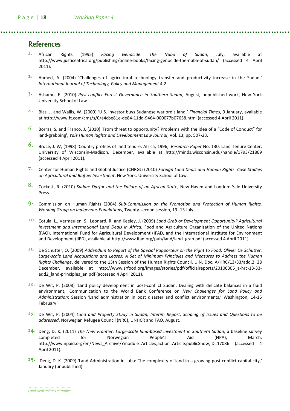### **References**

- 1. African Rights (1995) *Facing Genocide: The Nuba of Sudan,* July, available at http://www.justiceafrica.org/publishing/online-books/facing-genocide-the-nuba-of-sudan/ (accessed 4 April 2011).
- 2. Ahmed, A. (2004) 'Challenges of agricultural technology transfer and productivity increase in the Sudan,' International Journal of Technology, Policy and Management 4.2.
- $3.$  Ashamu, E. (2010) Post-conflict Forest Governance in Southern Sudan, August, unpublished work, New York University School of Law.
- 4. Blas, J. and Wallis, W. (2009) 'U.S. investor buys Sudanese warlord's land,' Financial Times, 9 January, available at http://www.ft.com/cms/s/0/a4cbe81e-de84-11dd-9464-000077b07658.html (accessed 4 April 2011).
- $5.$  Borras, S. and Franco, J. (2010) 'From threat to opportunity? Problems with the idea of a "Code of Conduct" for land-grabbing', Yale Human Rights and Development Law Journal, Vol. 13, pp. 507-23.
- 6. Bruce, J. W, (1998) 'Country profiles of land tenure: Africa, 1996,' Research Paper No. 130, Land Tenure Center, University of Wisconsin-Madison, December, available at http://minds.wisconsin.edu/handle/1793/21869 (accessed 4 April 2011).
- 7. Center for Human Rights and Global Justice (CHRGJ) (2010) Foreign Land Deals and Human Rights: Case Studies on Agricultural and Biofuel Investment, New York: University School of Law.
- 8. Cockett, R. (2010) Sudan: Darfur and the Failure of an African State, New Haven and London: Yale University Press.
- 9. Commission on Human Rights (2004) Sub-Commission on the Promotion and Protection of Human Rights, Working Group on Indigenous Populations, Twenty-second session, 19 -13 July.
- 10. Cotula, L., Vermeulen, S., Leonard, R. and Keeley, J. (2009) Land Grab or Development Opportunity? Agricultural Investment and International Land Deals in Africa, Food and Agriculture Organization of the United Nations (FAO), International Fund for Agricultural Development (IFAD, and the International Institute for Environment and Development (IIED), available at http://www.ifad.org/pub/land/land\_grab.pdf (accessed 4 April 2011).
- 11. De Schutter, O. (2009) Addendum to Report of the Special Rapporteur on the Right to Food, Olivier De Schutter: Large-scale Land Acquisitions and Leases: A Set of Minimum Principles and Measures to Address the Human Rights Challenge, delivered to the 13th Session of the Human Rights Council, U.N. Doc. A/HRC/13/33/add.2, 28 December, available at http://www.srfood.org/images/stories/pdf/officialreports/20100305\_a-hrc-13-33 add2\_land-principles\_en.pdf (accessed 4 April 2011).
- 12. De Wit, P. (2008) 'Land policy development in post-conflict Sudan: Dealing with delicate balances in a fluid environment,' Communication to the World Bank Conference on New Challenges for Land Policy and Administration: Session 'Land administration in post disaster and conflict environments,' Washington, 14-15 February.
- 13. De Wit, P. (2004) Land and Property Study in Sudan, Interim Report: Scoping of Issues and Questions to be addressed, Norwegian Refugee Council (NRC), UNHCR and FAO, August.
- $14$ . Deng, D. K. (2011) The New Frontier: Large-scale land-based investment in Southern Sudan, a baseline survey completed for Norwegian People's Aid (NPA), March, http://www.npaid.org/en/News\_Archive/?module=Articles;action=Article.publicShow;ID=17086 (accessed 4 April 2011).
- 15. Deng, D. K. (2009) 'Land Administration in Juba: The complexity of land in a growing post-conflict capital city,' January (unpublished).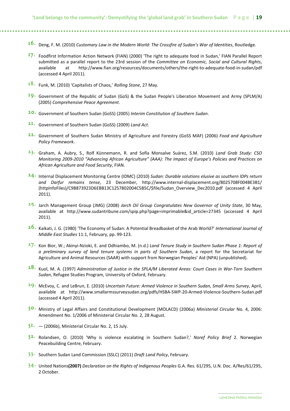- 16. Deng, F. M. (2010) Customary Law in the Modern World: The Crossfire of Sudan's War of Identities, Routledge.
- 17. Foodfirst Information Action Network (FIAN) (2000) 'The right to adequate food in Sudan,' FIAN Parallel Report submitted as a parallel report to the 23rd session of the Committee on Economic, Social and Cultural Rights, available at http://www.fian.org/resources/documents/others/the-right-to-adequate-food-in-sudan/pdf (accessed 4 April 2011).
- 18. Funk, M. (2010) 'Capitalists of Chaos,' Rolling Stone, 27 May.
- 19. Government of the Republic of Sudan (GoS) & the Sudan People's Liberation Movement and Army (SPLM/A) (2005) Comprehensive Peace Agreement.
- 20. Government of Southern Sudan (GoSS) (2005) Interim Constitution of Southern Sudan.
- 21. Government of Southern Sudan (GoSS) (2009) Land Act.
- 22. Government of Southern Sudan Ministry of Agriculture and Forestry (GoSS MAF) (2006) Food and Agriculture Policy Framework.
- $23.$  Graham, A. Aubry, S., Rolf Künnemann, R. and Sofía Monsalve Suárez, S.M. (2010) Land Grab Study: CSO Monitoring 2009-2010 "Advancing African Agriculture" (AAA): The Impact of Europe's Policies and Practices on African Agriculture and Food Security, FIAN.
- $24.$  Internal Displacement Monitoring Centre (IDMC) (2010) Sudan: Durable solutions elusive as southern IDPs return and Darfur remains tense, 23 December, http://www.internal-displacement.org/8025708F004BE3B1/ (httpInfoFiles)/C9B873923D6EBB13C1257802004C5B5C/\$file/Sudan\_Overview\_Dec2010.pdf (accessed 4 April 2011).
- $25.$  Jarch Management Group (JMG) (2008) Jarch Oil Group Congratulates New Governor of Unity State, 30 May, available at http://www.sudantribune.com/spip.php?page=imprimable&id\_article=27345 (accessed 4 April 2011).
- $26.$  Kaikati, J. G. (1980) 'The Economy of Sudan: A Potential Breadbasket of the Arab World?' International Journal of Middle East Studies 11:1, February, pp. 99-123.
- $27.$  Kon Bior, W.; Akinyi-Nzioki, E. and Odhiambo, M. (n.d.) Land Tenure Study in Southern Sudan Phase 1: Report of a preliminary survey of land tenure systems in parts of Southern Sudan, a report for the Secretariat for Agriculture and Animal Resources (SAAR) with support from Norwegian Peoples' Aid (NPA) (unpublished).
- 28. Kuol, M. A. (1997) Administration of Justice in the SPLA/M Liberated Areas: Court Cases in War-Torn Southern Sudan, Refugee Studies Program, University of Oxford, February.
- 29. McEvoy, C. and LeBrun, E. (2010) Uncertain Future: Armed Violence in Southern Sudan, Small Arms Survey, April, available at http://www.smallarmssurveysudan.org/pdfs/HSBA-SWP-20-Armed-Violence-Southern-Sudan.pdf (accessed 4 April 2011).
- $3^{\circ}$ . Ministry of Legal Affairs and Constitutional Development (MOLACD) (2006a) Ministerial Circular No. 4, 2006: Amendment No. 1/2006 of Ministerial Circular No. 2, 28 August.
- $3I (2006b)$ , Ministerial Circular No. 2, 15 July.
- $3<sup>2</sup>$  Rolandsen, O. (2010) 'Why is violence escalating in Southern Sudan?,' Noref Policy Brief 2. Norwegian Peacebuilding Centre, February.
- $33.$  Southern Sudan Land Commission (SSLC) (2011) Draft Land Policy, February.
- $34$ . United Nations(2007) Declaration on the Rights of Indigenous Peoples G.A. Res. 61/295, U.N. Doc. A/Res/61/295, 2 October.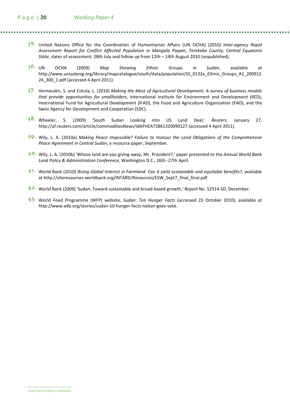- $35$ . United Nations Office for the Coordination of Humanitarian Affairs (UN OCHA) (2010) Inter-agency Rapid Assessment Report for Conflict Affected Population in Mangala Payam, Terekeka County, Central Equatoria State, dates of assessment: 28th July and follow up from 12th – 14th August 2010 (unpublished).
- 3<sup>6</sup> UN OCHA (2009) Map Showing Ethnic Groups in Sudan, available at http://www.unsudanig.org/library/mapcatalogue/south/data/population/SS\_0132a\_Ethnic\_Groups\_A1\_200912 24\_300\_1.pdf (accessed 4 April 2011).
- $37.$  Vermeulen, S. and Cotula, L. (2010) Making the Most of Agricultural Development: A survey of business models that provide opportunities for smallholders, International Institute for Environment and Development (IIED), International Fund for Agricultural Development (IFAD), the Food and Agriculture Organization (FAO), and the Swiss Agency for Development and Cooperation (SDC).
- $3<sup>8</sup>$ . Wheeler, S. (2009) 'South Sudan Looking into US Land Deal,' Reuters, January 27, http://af.reuters.com/article/commoditiesNews/idAFHEA72861320090127 (accessed 4 April 2011).
- $39$ . Wily, L. A. (2010a) Making Peace Impossible? Failure to Honour the Land Obligations of the Comprehensive Peace Agreement in Central Sudan, a resource paper, September.
- $4^{\circ}$ . Wily, L. A. (2010b) 'Whose land are you giving away, Mr. President?,' paper presented to the Annual World Bank Land Policy & Administration Conference, Washington D.C., 26th -27th April.
- $4<sup>I</sup>$ . World Bank (2010) Rising Global Interest in Farmland: Can it yield sustainable and equitable benefits?, available at http://siteresources.worldbank.org/INTARD/Resources/ESW\_Sept7\_final\_final.pdf.
- $4<sup>2</sup>$ . World Bank (2009) 'Sudan: Toward sustainable and broad-based growth,' Report No. 52514-SD, December.
- $43.$  World Food Programme (WFP) website, Sudan: Ten Hunger Facts (accessed 23 October 2010), available at http://www.wfp.org/stories/sudan-10-hunger-facts-nation-goes-vote.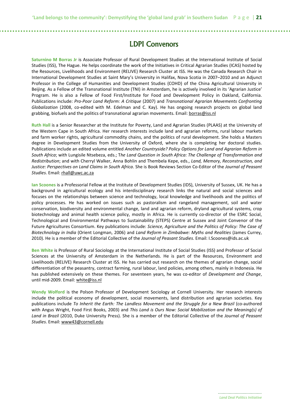## LDPI Convenors

Saturnino M Borras Jr is Associate Professor of Rural Development Studies at the International Institute of Social Studies (ISS), The Hague. He helps coordinate the work of the Initiatives in Critical Agrarian Studies (ICAS) hosted by the Resources, Livelihoods and Environment (RELIVE) Research Cluster at ISS. He was the Canada Research Chair in International Development Studies at Saint Mary's University in Halifax, Nova Scotia in 2007–2010 and an Adjunct Professor in the College of Humanities and Development Studies (COHD) of the China Agricultural University in Beijing. As a Fellow of the Transnational Institute (TNI) in Amsterdam, he is actively involved in its 'Agrarian Justice' Program. He is also a Fellow of Food First/Institute for Food and Development Policy in Oakland, California. Publications include: Pro-Poor Land Reform: A Critique (2007) and Transnational Agrarian Movements Confronting Globalization (2008, co-edited with M. Edelman and C. Kay). He has ongoing research projects on global land grabbing, biofuels and the politics of transnational agrarian movements. Email: borras@iss.nl

Ruth Hall is a Senior Researcher at the Institute for Poverty, Land and Agrarian Studies (PLAAS) at the University of the Western Cape in South Africa. Her research interests include land and agrarian reforms, rural labour markets and farm worker rights, agricultural commodity chains, and the politics of rural development. She holds a Masters degree in Development Studies from the University of Oxford, where she is completing her doctoral studies. Publications include an edited volume entitled Another Countryside? Policy Options for Land and Agrarian Reform in South Africa; with Lungisile Ntsebeza, eds.; The Land Question in South Africa: The Challenge of Transformation and Redistribution; and with Cherryl Walker, Anna Bohlin and Thembela Kepe, eds., Land, Memory, Reconstruction, and Justice: Perspectives on Land Claims in South Africa. She is Book Reviews Section Co-Editor of the Journal of Peasant Studies. Email: rhall@uwc.ac.za

Ian Scoones is a Professorial Fellow at the Institute of Development Studies (IDS), University of Sussex, UK. He has a background in agricultural ecology and his interdisciplinary research links the natural and social sciences and focuses on the relationships between science and technology, local knowledge and livelihoods and the politics of policy processes. He has worked on issues such as pastoralism and rangeland management, soil and water conservation, biodiversity and environmental change, land and agrarian reform, dryland agricultural systems, crop biotechnology and animal health science policy, mostly in Africa. He is currently co-director of the ESRC Social, Technological and Environmental Pathways to Sustainability (STEPS) Centre at Sussex and Joint Convenor of the Future Agricultures Consortium. Key publications include: Science, Agriculture and the Politics of Policy: The Case of Biotechnology in India (Orient Longman, 2006) and Land Reform in Zimbabwe: Myths and Realities (James Currey, 2010). He is a member of the Editorial Collective of the Journal of Peasant Studies. Email: I.Scoones@ids.ac.uk

Ben White is Professor of Rural Sociology at the International Institute of Social Studies (ISS) and Professor of Social Sciences at the University of Amsterdam in the Netherlands. He is part of the Resources, Environment and Livelihoods (RELIVE) Research Cluster at ISS. He has carried out research on the themes of agrarian change, social differentiation of the peasantry, contract farming, rural labour, land policies, among others, mainly in Indonesia. He has published extensively on these themes. For seventeen years, he was co-editor of Development and Change, until mid-2009. Email: white@iss.nl

Wendy Wolford is the Polson Professor of Development Sociology at Cornell University. Her research interests include the political economy of development, social movements, land distribution and agrarian societies. Key publications include To Inherit the Earth: The Landless Movement and the Struggle for a New Brazil (co-authored with Angus Wright, Food First Books, 2003) and This Land is Ours Now: Social Mobilization and the Meaning(s) of Land in Brazil (2010, Duke University Press). She is a member of the Editorial Collective of the Journal of Peasant Studies. Email: www43@cornell.edu